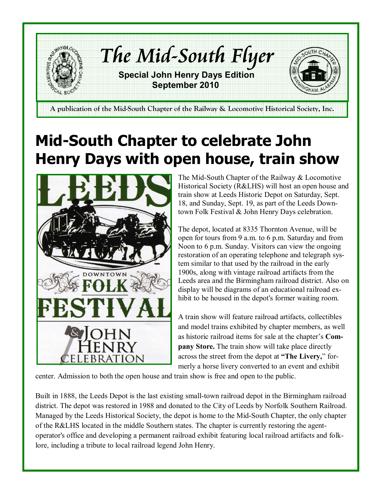

# Mid-South Chapter to celebrate John Henry Days with open house, train show



The Mid-South Chapter of the Railway & Locomotive Historical Society (R&LHS) will host an open house and train show at Leeds Historic Depot on Saturday, Sept. 18, and Sunday, Sept. 19, as part of the Leeds Downtown Folk Festival & John Henry Days celebration.

The depot, located at 8335 Thornton Avenue, will be open for tours from 9 a.m. to 6 p.m. Saturday and from Noon to 6 p.m. Sunday. Visitors can view the ongoing restoration of an operating telephone and telegraph system similar to that used by the railroad in the early 1900s, along with vintage railroad artifacts from the Leeds area and the Birmingham railroad district. Also on display will be diagrams of an educational railroad exhibit to be housed in the depot's former waiting room.

A train show will feature railroad artifacts, collectibles and model trains exhibited by chapter members, as well as historic railroad items for sale at the chapter's Company Store. The train show will take place directly across the street from the depot at "The Livery," formerly a horse livery converted to an event and exhibit

center. Admission to both the open house and train show is free and open to the public.

Built in 1888, the Leeds Depot is the last existing small-town railroad depot in the Birmingham railroad district. The depot was restored in 1988 and donated to the City of Leeds by Norfolk Southern Railroad. Managed by the Leeds Historical Society, the depot is home to the Mid-South Chapter, the only chapter of the R&LHS located in the middle Southern states. The chapter is currently restoring the agentoperator's office and developing a permanent railroad exhibit featuring local railroad artifacts and folklore, including a tribute to local railroad legend John Henry.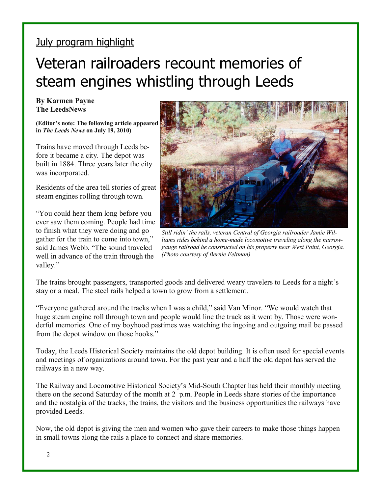#### July program highlight

## Veteran railroaders recount memories of steam engines whistling through Leeds

#### By Karmen Payne The LeedsNews

(Editor's note: The following article appeared in The Leeds News on July 19, 2010)

Trains have moved through Leeds before it became a city. The depot was built in 1884. Three years later the city was incorporated.

Residents of the area tell stories of great steam engines rolling through town.

"You could hear them long before you ever saw them coming. People had time to finish what they were doing and go gather for the train to come into town," said James Webb. "The sound traveled well in advance of the train through the valley."



Still ridin' the rails, veteran Central of Georgia railroader Jamie Williams rides behind a home-made locomotive traveling along the narrowgauge railroad he constructed on his property near West Point, Georgia. (Photo courtesy of Bernie Feltman)

The trains brought passengers, transported goods and delivered weary travelers to Leeds for a night's stay or a meal. The steel rails helped a town to grow from a settlement.

"Everyone gathered around the tracks when I was a child," said Van Minor. "We would watch that huge steam engine roll through town and people would line the track as it went by. Those were wonderful memories. One of my boyhood pastimes was watching the ingoing and outgoing mail be passed from the depot window on those hooks."

Today, the Leeds Historical Society maintains the old depot building. It is often used for special events and meetings of organizations around town. For the past year and a half the old depot has served the railways in a new way.

The Railway and Locomotive Historical Society's Mid-South Chapter has held their monthly meeting there on the second Saturday of the month at 2 p.m. People in Leeds share stories of the importance and the nostalgia of the tracks, the trains, the visitors and the business opportunities the railways have provided Leeds.

Now, the old depot is giving the men and women who gave their careers to make those things happen in small towns along the rails a place to connect and share memories.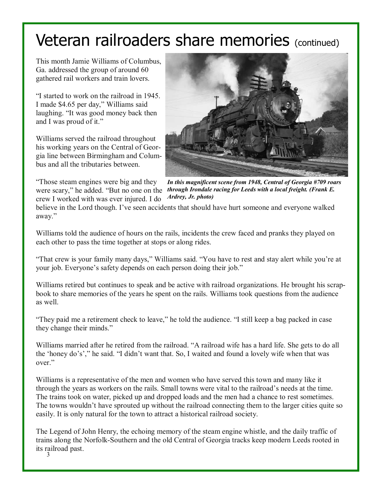# Veteran railroaders share memories (continued)

This month Jamie Williams of Columbus, Ga. addressed the group of around 60 gathered rail workers and train lovers.

"I started to work on the railroad in 1945. I made \$4.65 per day," Williams said laughing. "It was good money back then and I was proud of it."

Williams served the railroad throughout his working years on the Central of Georgia line between Birmingham and Columbus and all the tributaries between.

"Those steam engines were big and they were scary," he added. "But no one on the crew I worked with was ever injured. I do



In this magnificent scene from 1948, Central of Georgia #709 roars through Irondale racing for Leeds with a local freight. (Frank E. Ardrey, Jr. photo)

believe in the Lord though. I've seen accidents that should have hurt someone and everyone walked away."

Williams told the audience of hours on the rails, incidents the crew faced and pranks they played on each other to pass the time together at stops or along rides.

"That crew is your family many days," Williams said. "You have to rest and stay alert while you're at your job. Everyone's safety depends on each person doing their job."

Williams retired but continues to speak and be active with railroad organizations. He brought his scrapbook to share memories of the years he spent on the rails. Williams took questions from the audience as well.

"They paid me a retirement check to leave," he told the audience. "I still keep a bag packed in case they change their minds."

Williams married after he retired from the railroad. "A railroad wife has a hard life. She gets to do all the 'honey do's'," he said. "I didn't want that. So, I waited and found a lovely wife when that was over"

Williams is a representative of the men and women who have served this town and many like it through the years as workers on the rails. Small towns were vital to the railroad's needs at the time. The trains took on water, picked up and dropped loads and the men had a chance to rest sometimes. The towns wouldn't have sprouted up without the railroad connecting them to the larger cities quite so easily. It is only natural for the town to attract a historical railroad society.

The Legend of John Henry, the echoing memory of the steam engine whistle, and the daily traffic of trains along the Norfolk-Southern and the old Central of Georgia tracks keep modern Leeds rooted in its railroad past.

3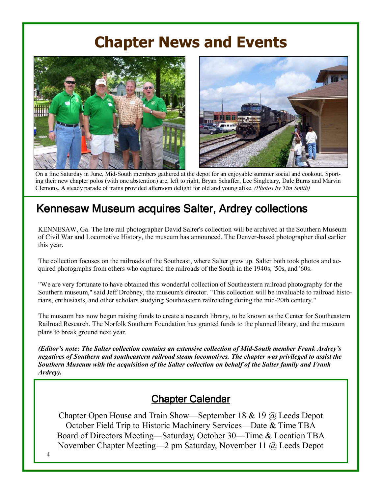### Chapter News and Events



On a fine Saturday in June, Mid-South members gathered at the depot for an enjoyable summer social and cookout. Sporting their new chapter polos (with one abstention) are, left to right, Bryan Schaffer, Lee Singletary, Dale Burns and Marvin Clemons. A steady parade of trains provided afternoon delight for old and young alike. (Photos by Tim Smith)

### Kennesaw Museum acquires Salter, Ardrey collections

KENNESAW, Ga. The late rail photographer David Salter's collection will be archived at the Southern Museum of Civil War and Locomotive History, the museum has announced. The Denver-based photographer died earlier this year.

The collection focuses on the railroads of the Southeast, where Salter grew up. Salter both took photos and acquired photographs from others who captured the railroads of the South in the 1940s, '50s, and '60s.

"We are very fortunate to have obtained this wonderful collection of Southeastern railroad photography for the Southern museum," said Jeff Drobney, the museum's director. "This collection will be invaluable to railroad historians, enthusiasts, and other scholars studying Southeastern railroading during the mid-20th century."

The museum has now begun raising funds to create a research library, to be known as the Center for Southeastern Railroad Research. The Norfolk Southern Foundation has granted funds to the planned library, and the museum plans to break ground next year.

(Editor's note: The Salter collection contains an extensive collection of Mid-South member Frank Ardrey's negatives of Southern and southeastern railroad steam locomotives. The chapter was privileged to assist the Southern Museum with the acquisition of the Salter collection on behalf of the Salter family and Frank Ardrey).

### Chapter Calendar

Chapter Open House and Train Show—September 18 & 19 @ Leeds Depot October Field Trip to Historic Machinery Services—Date & Time TBA Board of Directors Meeting—Saturday, October 30—Time & Location TBA November Chapter Meeting—2 pm Saturday, November 11 @ Leeds Depot

4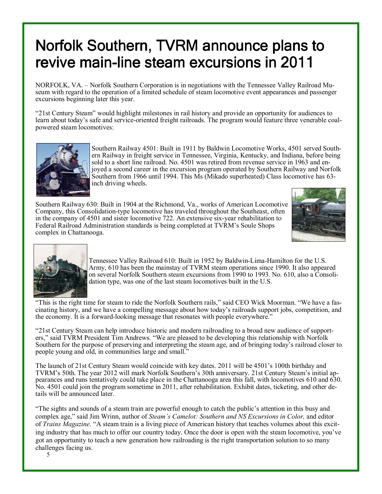## Norfolk Southern, TVRM announce plans to revive main-line steam excursions in 2011

 $\overline{a}$ NORFOLK, VA. – Norfolk Southern Corporation is in negotiations with the Tennessee Valley Railroad Museum with regard to the operation of a limited schedule of steam locomotive event appearances and passenger excursions beginning later this year.

"21st Century Steam" would highlight milestones in rail history and provide an opportunity for audiences to learn about today's safe and service-oriented freight railroads. The program would feature three venerable coalpowered steam locomotives:



Southern Railway 4501: Built in 1911 by Baldwin Locomotive Works, 4501 served Southern Railway in freight service in Tennessee, Virginia, Kentucky, and Indiana, before being sold to a short line railroad. No. 4501 was retired from revenue service in 1963 and enjoyed a second career in the excursion program operated by Southern Railway and Norfolk Southern from 1966 until 1994. This Ms (Mikado superheated) Class locomotive has 63 inch driving wheels.

Southern Railway 630: Built in 1904 at the Richmond, Va., works of American Locomotive Company, this Consolidation-type locomotive has traveled throughout the Southeast, often in the company of 4501 and sister locomotive 722. An extensive six-year rehabilitation to Federal Railroad Administration standards is being completed at TVRM's Soule Shops complex in Chattanooga.





Tennessee Valley Railroad 610: Built in 1952 by Baldwin-Lima-Hamilton for the U.S. Army, 610 has been the mainstay of TVRM steam operations since 1990. It also appeared on several Norfolk Southern steam excursions from 1990 to 1993. No. 610, also a Consolidation type, was one of the last steam locomotives built in the U.S.

"This is the right time for steam to ride the Norfolk Southern rails," said CEO Wick Moorman. "We have a fascinating history, and we have a compelling message about how today's railroads support jobs, competition, and the economy. It is a forward-looking message that resonates with people everywhere."

"21st Century Steam can help introduce historic and modern railroading to a broad new audience of supporters," said TVRM President Tim Andrews. "We are pleased to be developing this relationship with Norfolk Southern for the purpose of preserving and interpreting the steam age, and of bringing today's railroad closer to people young and old, in communities large and small."

The launch of 21st Century Steam would coincide with key dates. 2011 will be 4501's 100th birthday and TVRM's 50th. The year 2012 will mark Norfolk Southern's 30th anniversary. 21st Century Steam's initial appearances and runs tentatively could take place in the Chattanooga area this fall, with locomotives 610 and 630. No. 4501 could join the program sometime in 2011, after rehabilitation. Exhibit dates, ticketing, and other details will be announced later.

"The sights and sounds of a steam train are powerful enough to catch the public's attention in this busy and complex age," said Jim Wrinn, author of Steam's Camelot: Southern and NS Excursions in Color, and editor of Trains Magazine. "A steam train is a living piece of American history that teaches volumes about this exciting industry that has much to offer our country today. Once the door is open with the steam locomotive, you've got an opportunity to teach a new generation how railroading is the right transportation solution to so many challenges facing us.